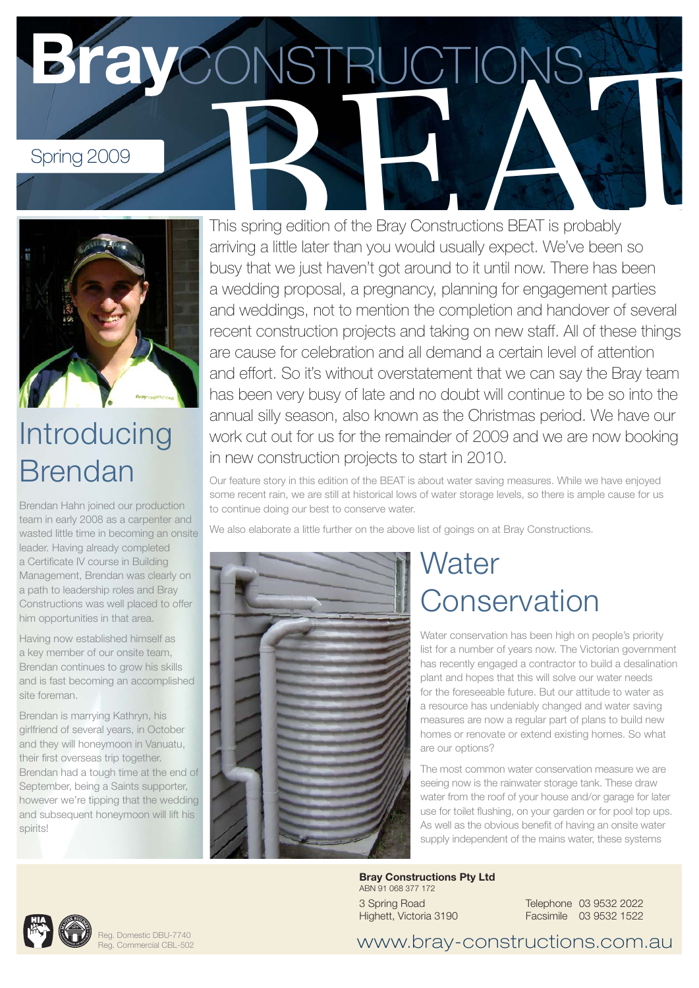Spring 2009<br>This spring edition of the Bray Constructions BEAT is probably



## Introducing Brendan

Brendan Hahn joined our production team in early 2008 as a carpenter and wasted little time in becoming an onsite leader. Having already completed a Certificate IV course in Building Management, Brendan was clearly on a path to leadership roles and Bray Constructions was well placed to offer him opportunities in that area.

Having now established himself as a key member of our onsite team, Brendan continues to grow his skills and is fast becoming an accomplished site foreman.

Brendan is marrying Kathryn, his girlfriend of several years, in October and they will honeymoon in Vanuatu, their first overseas trip together. Brendan had a tough time at the end of September, being a Saints supporter, however we're tipping that the wedding and subsequent honeymoon will lift his spirits!

This spring edition of the Bray Constructions BEAT is probably arriving a little later than you would usually expect. We've been so busy that we just haven't got around to it until now. There has been a wedding proposal, a pregnancy, planning for engagement parties and weddings, not to mention the completion and handover of several recent construction projects and taking on new staff. All of these things are cause for celebration and all demand a certain level of attention and effort. So it's without overstatement that we can say the Bray team has been very busy of late and no doubt will continue to be so into the annual silly season, also known as the Christmas period. We have our work cut out for us for the remainder of 2009 and we are now booking in new construction projects to start in 2010.

Our feature story in this edition of the BEAT is about water saving measures. While we have enjoyed some recent rain, we are still at historical lows of water storage levels, so there is ample cause for us to continue doing our best to conserve water.

We also elaborate a little further on the above list of goings on at Bray Constructions.



### **Water Conservation**

Water conservation has been high on people's priority list for a number of years now. The Victorian government has recently engaged a contractor to build a desalination plant and hopes that this will solve our water needs for the foreseeable future. But our attitude to water as a resource has undeniably changed and water saving measures are now a regular part of plans to build new homes or renovate or extend existing homes. So what are our options?

The most common water conservation measure we are seeing now is the rainwater storage tank. These draw water from the roof of your house and/or garage for later use for toilet flushing, on your garden or for pool top ups. As well as the obvious benefit of having an onsite water supply independent of the mains water, these systems

**Bray Constructions Pty Ltd** ABN 91 068 377 172 3 Spring Road Highett, Victoria 3190

Telephone 03 9532 2022 Facsimile 03 9532 1522



www.bray-constructions.com.au